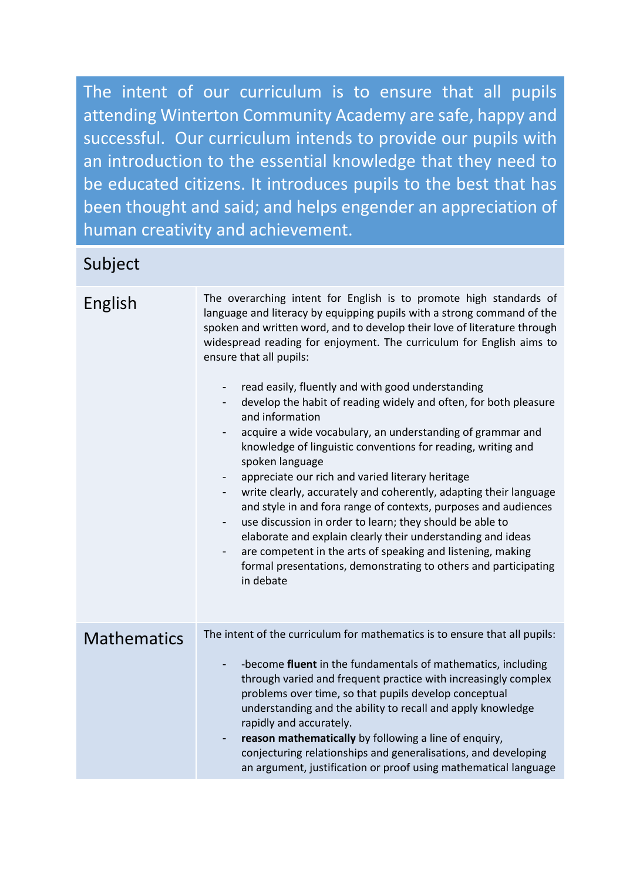The intent of our curriculum is to ensure that all pupils attending Winterton Community Academy are safe, happy and successful. Our curriculum intends to provide our pupils with an introduction to the essential knowledge that they need to be educated citizens. It introduces pupils to the best that has been thought and said; and helps engender an appreciation of human creativity and achievement.

## Subject

| English            | The overarching intent for English is to promote high standards of<br>language and literacy by equipping pupils with a strong command of the<br>spoken and written word, and to develop their love of literature through<br>widespread reading for enjoyment. The curriculum for English aims to<br>ensure that all pupils:<br>read easily, fluently and with good understanding<br>develop the habit of reading widely and often, for both pleasure<br>and information<br>acquire a wide vocabulary, an understanding of grammar and<br>knowledge of linguistic conventions for reading, writing and<br>spoken language<br>appreciate our rich and varied literary heritage<br>write clearly, accurately and coherently, adapting their language<br>and style in and fora range of contexts, purposes and audiences<br>use discussion in order to learn; they should be able to<br>elaborate and explain clearly their understanding and ideas<br>are competent in the arts of speaking and listening, making<br>$\overline{\phantom{0}}$<br>formal presentations, demonstrating to others and participating<br>in debate |
|--------------------|----------------------------------------------------------------------------------------------------------------------------------------------------------------------------------------------------------------------------------------------------------------------------------------------------------------------------------------------------------------------------------------------------------------------------------------------------------------------------------------------------------------------------------------------------------------------------------------------------------------------------------------------------------------------------------------------------------------------------------------------------------------------------------------------------------------------------------------------------------------------------------------------------------------------------------------------------------------------------------------------------------------------------------------------------------------------------------------------------------------------------|
| <b>Mathematics</b> | The intent of the curriculum for mathematics is to ensure that all pupils:<br>-become fluent in the fundamentals of mathematics, including<br>through varied and frequent practice with increasingly complex<br>problems over time, so that pupils develop conceptual<br>understanding and the ability to recall and apply knowledge<br>rapidly and accurately.<br>reason mathematically by following a line of enquiry,<br>conjecturing relationships and generalisations, and developing<br>an argument, justification or proof using mathematical language                                                                                                                                                                                                                                                                                                                                                                                                                                                                                                                                                              |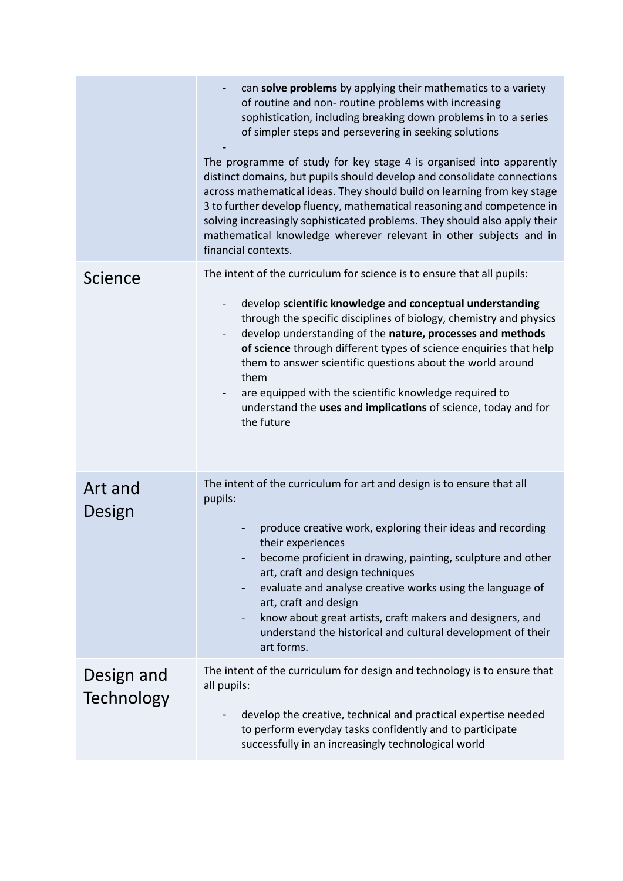|                                 | can solve problems by applying their mathematics to a variety<br>of routine and non- routine problems with increasing<br>sophistication, including breaking down problems in to a series<br>of simpler steps and persevering in seeking solutions<br>The programme of study for key stage 4 is organised into apparently<br>distinct domains, but pupils should develop and consolidate connections<br>across mathematical ideas. They should build on learning from key stage<br>3 to further develop fluency, mathematical reasoning and competence in<br>solving increasingly sophisticated problems. They should also apply their<br>mathematical knowledge wherever relevant in other subjects and in<br>financial contexts. |
|---------------------------------|-----------------------------------------------------------------------------------------------------------------------------------------------------------------------------------------------------------------------------------------------------------------------------------------------------------------------------------------------------------------------------------------------------------------------------------------------------------------------------------------------------------------------------------------------------------------------------------------------------------------------------------------------------------------------------------------------------------------------------------|
| Science                         | The intent of the curriculum for science is to ensure that all pupils:<br>develop scientific knowledge and conceptual understanding<br>through the specific disciplines of biology, chemistry and physics<br>develop understanding of the nature, processes and methods<br>of science through different types of science enquiries that help<br>them to answer scientific questions about the world around<br>them<br>are equipped with the scientific knowledge required to<br>understand the uses and implications of science, today and for<br>the future                                                                                                                                                                      |
| Art and<br>Design               | The intent of the curriculum for art and design is to ensure that all<br>pupils:<br>produce creative work, exploring their ideas and recording<br>their experiences<br>become proficient in drawing, painting, sculpture and other<br>$\overline{\phantom{0}}$<br>art, craft and design techniques<br>evaluate and analyse creative works using the language of<br>$\blacksquare$<br>art, craft and design<br>know about great artists, craft makers and designers, and<br>-<br>understand the historical and cultural development of their<br>art forms.                                                                                                                                                                         |
| Design and<br><b>Technology</b> | The intent of the curriculum for design and technology is to ensure that<br>all pupils:<br>develop the creative, technical and practical expertise needed<br>to perform everyday tasks confidently and to participate<br>successfully in an increasingly technological world                                                                                                                                                                                                                                                                                                                                                                                                                                                      |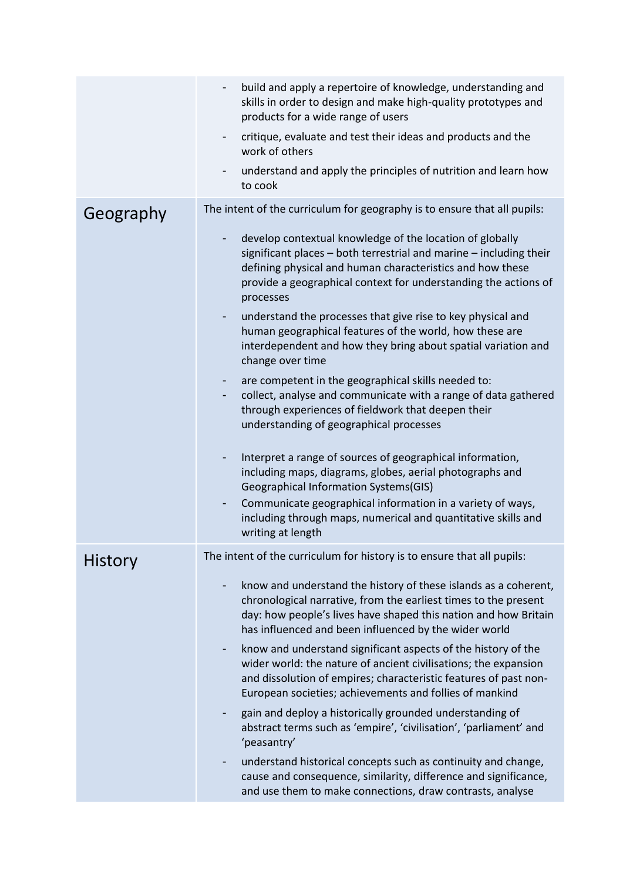|                | build and apply a repertoire of knowledge, understanding and<br>skills in order to design and make high-quality prototypes and<br>products for a wide range of users                                                                                                             |
|----------------|----------------------------------------------------------------------------------------------------------------------------------------------------------------------------------------------------------------------------------------------------------------------------------|
|                | critique, evaluate and test their ideas and products and the<br>٠<br>work of others                                                                                                                                                                                              |
|                | understand and apply the principles of nutrition and learn how<br>to cook                                                                                                                                                                                                        |
| Geography      | The intent of the curriculum for geography is to ensure that all pupils:                                                                                                                                                                                                         |
|                | develop contextual knowledge of the location of globally<br>٠<br>significant places - both terrestrial and marine - including their<br>defining physical and human characteristics and how these<br>provide a geographical context for understanding the actions of<br>processes |
|                | understand the processes that give rise to key physical and<br>human geographical features of the world, how these are<br>interdependent and how they bring about spatial variation and<br>change over time                                                                      |
|                | are competent in the geographical skills needed to:<br>collect, analyse and communicate with a range of data gathered<br>through experiences of fieldwork that deepen their<br>understanding of geographical processes                                                           |
|                | Interpret a range of sources of geographical information,<br>٠<br>including maps, diagrams, globes, aerial photographs and<br>Geographical Information Systems(GIS)                                                                                                              |
|                | Communicate geographical information in a variety of ways,<br>including through maps, numerical and quantitative skills and<br>writing at length                                                                                                                                 |
| <b>History</b> | The intent of the curriculum for history is to ensure that all pupils:                                                                                                                                                                                                           |
|                | know and understand the history of these islands as a coherent,<br>chronological narrative, from the earliest times to the present<br>day: how people's lives have shaped this nation and how Britain<br>has influenced and been influenced by the wider world                   |
|                | know and understand significant aspects of the history of the<br>wider world: the nature of ancient civilisations; the expansion<br>and dissolution of empires; characteristic features of past non-<br>European societies; achievements and follies of mankind                  |
|                | gain and deploy a historically grounded understanding of<br>abstract terms such as 'empire', 'civilisation', 'parliament' and<br>'peasantry'                                                                                                                                     |
|                | understand historical concepts such as continuity and change,<br>cause and consequence, similarity, difference and significance,<br>and use them to make connections, draw contrasts, analyse                                                                                    |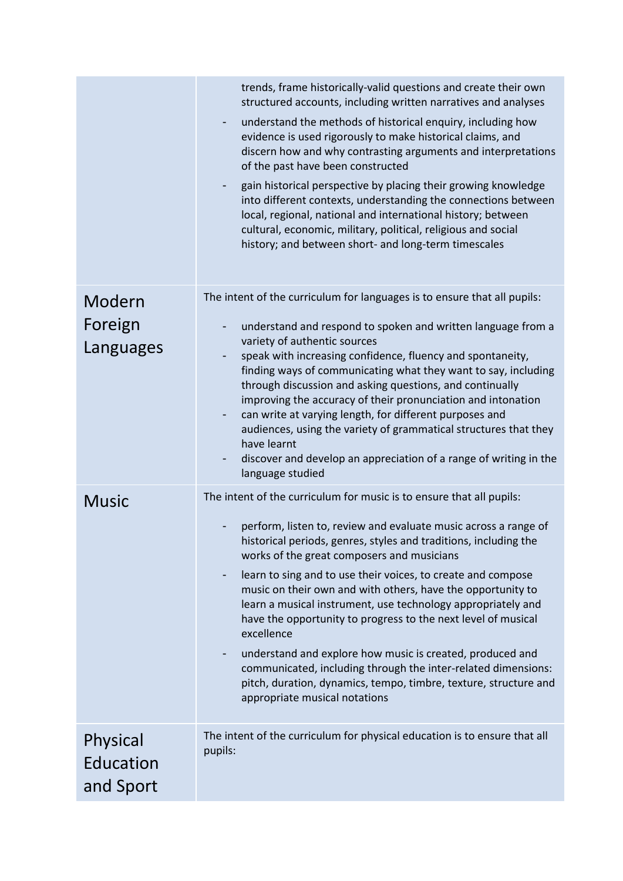|                                    | trends, frame historically-valid questions and create their own<br>structured accounts, including written narratives and analyses<br>understand the methods of historical enquiry, including how<br>evidence is used rigorously to make historical claims, and<br>discern how and why contrasting arguments and interpretations<br>of the past have been constructed<br>gain historical perspective by placing their growing knowledge<br>into different contexts, understanding the connections between<br>local, regional, national and international history; between<br>cultural, economic, military, political, religious and social<br>history; and between short- and long-term timescales                                                                               |
|------------------------------------|---------------------------------------------------------------------------------------------------------------------------------------------------------------------------------------------------------------------------------------------------------------------------------------------------------------------------------------------------------------------------------------------------------------------------------------------------------------------------------------------------------------------------------------------------------------------------------------------------------------------------------------------------------------------------------------------------------------------------------------------------------------------------------|
| Modern<br>Foreign<br>Languages     | The intent of the curriculum for languages is to ensure that all pupils:<br>understand and respond to spoken and written language from a<br>variety of authentic sources<br>speak with increasing confidence, fluency and spontaneity,<br>finding ways of communicating what they want to say, including<br>through discussion and asking questions, and continually<br>improving the accuracy of their pronunciation and intonation<br>can write at varying length, for different purposes and<br>audiences, using the variety of grammatical structures that they<br>have learnt<br>discover and develop an appreciation of a range of writing in the<br>language studied                                                                                                     |
| <b>Music</b>                       | The intent of the curriculum for music is to ensure that all pupils:<br>perform, listen to, review and evaluate music across a range of<br>historical periods, genres, styles and traditions, including the<br>works of the great composers and musicians<br>learn to sing and to use their voices, to create and compose<br>-<br>music on their own and with others, have the opportunity to<br>learn a musical instrument, use technology appropriately and<br>have the opportunity to progress to the next level of musical<br>excellence<br>understand and explore how music is created, produced and<br>communicated, including through the inter-related dimensions:<br>pitch, duration, dynamics, tempo, timbre, texture, structure and<br>appropriate musical notations |
| Physical<br>Education<br>and Sport | The intent of the curriculum for physical education is to ensure that all<br>pupils:                                                                                                                                                                                                                                                                                                                                                                                                                                                                                                                                                                                                                                                                                            |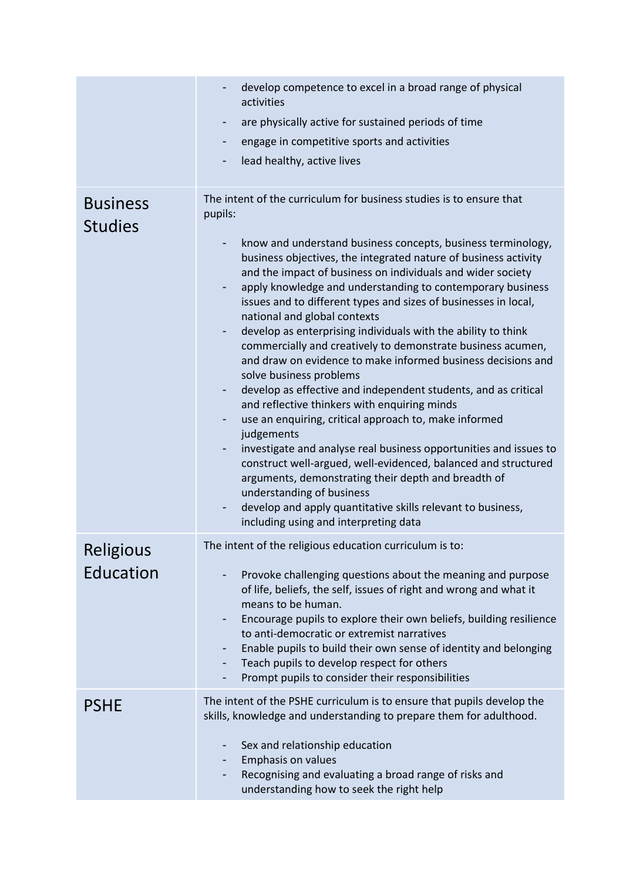|                  | develop competence to excel in a broad range of physical<br>activities                                                                                                                                                                                                                                                                                                                                                                                                                                                                                                                                                                                                                                                                                                                                                                                                                                                                                                                                                                                                                                                                     |
|------------------|--------------------------------------------------------------------------------------------------------------------------------------------------------------------------------------------------------------------------------------------------------------------------------------------------------------------------------------------------------------------------------------------------------------------------------------------------------------------------------------------------------------------------------------------------------------------------------------------------------------------------------------------------------------------------------------------------------------------------------------------------------------------------------------------------------------------------------------------------------------------------------------------------------------------------------------------------------------------------------------------------------------------------------------------------------------------------------------------------------------------------------------------|
|                  | are physically active for sustained periods of time<br>٠                                                                                                                                                                                                                                                                                                                                                                                                                                                                                                                                                                                                                                                                                                                                                                                                                                                                                                                                                                                                                                                                                   |
|                  | engage in competitive sports and activities                                                                                                                                                                                                                                                                                                                                                                                                                                                                                                                                                                                                                                                                                                                                                                                                                                                                                                                                                                                                                                                                                                |
|                  | lead healthy, active lives                                                                                                                                                                                                                                                                                                                                                                                                                                                                                                                                                                                                                                                                                                                                                                                                                                                                                                                                                                                                                                                                                                                 |
|                  |                                                                                                                                                                                                                                                                                                                                                                                                                                                                                                                                                                                                                                                                                                                                                                                                                                                                                                                                                                                                                                                                                                                                            |
| <b>Business</b>  | The intent of the curriculum for business studies is to ensure that<br>pupils:                                                                                                                                                                                                                                                                                                                                                                                                                                                                                                                                                                                                                                                                                                                                                                                                                                                                                                                                                                                                                                                             |
| <b>Studies</b>   | know and understand business concepts, business terminology,<br>business objectives, the integrated nature of business activity<br>and the impact of business on individuals and wider society<br>apply knowledge and understanding to contemporary business<br>۰<br>issues and to different types and sizes of businesses in local,<br>national and global contexts<br>develop as enterprising individuals with the ability to think<br>۰<br>commercially and creatively to demonstrate business acumen,<br>and draw on evidence to make informed business decisions and<br>solve business problems<br>develop as effective and independent students, and as critical<br>and reflective thinkers with enquiring minds<br>use an enquiring, critical approach to, make informed<br>judgements<br>investigate and analyse real business opportunities and issues to<br>۰<br>construct well-argued, well-evidenced, balanced and structured<br>arguments, demonstrating their depth and breadth of<br>understanding of business<br>develop and apply quantitative skills relevant to business,<br>۰<br>including using and interpreting data |
| <b>Religious</b> | The intent of the religious education curriculum is to:                                                                                                                                                                                                                                                                                                                                                                                                                                                                                                                                                                                                                                                                                                                                                                                                                                                                                                                                                                                                                                                                                    |
| Education        | Provoke challenging questions about the meaning and purpose<br>of life, beliefs, the self, issues of right and wrong and what it<br>means to be human.<br>Encourage pupils to explore their own beliefs, building resilience<br>to anti-democratic or extremist narratives<br>Enable pupils to build their own sense of identity and belonging<br>Teach pupils to develop respect for others<br>۰<br>Prompt pupils to consider their responsibilities                                                                                                                                                                                                                                                                                                                                                                                                                                                                                                                                                                                                                                                                                      |
| <b>PSHE</b>      | The intent of the PSHE curriculum is to ensure that pupils develop the<br>skills, knowledge and understanding to prepare them for adulthood.<br>Sex and relationship education<br>۰<br>Emphasis on values<br>Recognising and evaluating a broad range of risks and                                                                                                                                                                                                                                                                                                                                                                                                                                                                                                                                                                                                                                                                                                                                                                                                                                                                         |
|                  | understanding how to seek the right help                                                                                                                                                                                                                                                                                                                                                                                                                                                                                                                                                                                                                                                                                                                                                                                                                                                                                                                                                                                                                                                                                                   |